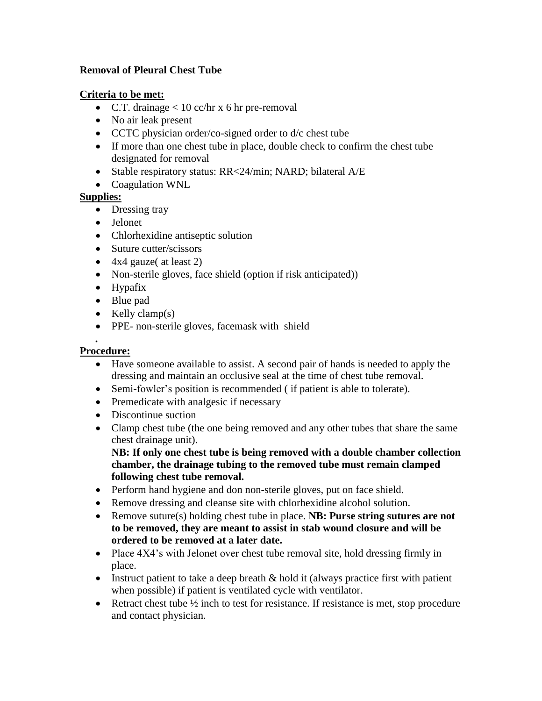## **Removal of Pleural Chest Tube**

## **Criteria to be met:**

- C.T. drainage  $< 10$  cc/hr x 6 hr pre-removal
- No air leak present
- CCTC physician order/co-signed order to d/c chest tube
- If more than one chest tube in place, double check to confirm the chest tube designated for removal
- Stable respiratory status: RR<24/min; NARD; bilateral A/E
- Coagulation WNL

## **Supplies:**

- Dressing tray
- Jelonet
- Chlorhexidine antiseptic solution
- Suture cutter/scissors
- $\bullet$  4x4 gauze( at least 2)
- Non-sterile gloves, face shield (option if risk anticipated))
- Hypafix
- Blue pad
- $\bullet$  Kelly clamp(s)
- PPE- non-sterile gloves, facemask with shield

## *.* **Procedure:**

- Have someone available to assist. A second pair of hands is needed to apply the dressing and maintain an occlusive seal at the time of chest tube removal.
- Semi-fowler's position is recommended ( if patient is able to tolerate).
- Premedicate with analgesic if necessary
- Discontinue suction
- Clamp chest tube (the one being removed and any other tubes that share the same chest drainage unit).

**NB: If only one chest tube is being removed with a double chamber collection chamber, the drainage tubing to the removed tube must remain clamped following chest tube removal.**

- Perform hand hygiene and don non-sterile gloves, put on face shield.
- Remove dressing and cleanse site with chlorhexidine alcohol solution.
- Remove suture(s) holding chest tube in place. **NB: Purse string sutures are not to be removed, they are meant to assist in stab wound closure and will be ordered to be removed at a later date.**
- Place  $4X4$ 's with Jelonet over chest tube removal site, hold dressing firmly in place.
- Instruct patient to take a deep breath  $\&$  hold it (always practice first with patient when possible) if patient is ventilated cycle with ventilator.
- Retract chest tube  $\frac{1}{2}$  inch to test for resistance. If resistance is met, stop procedure and contact physician.